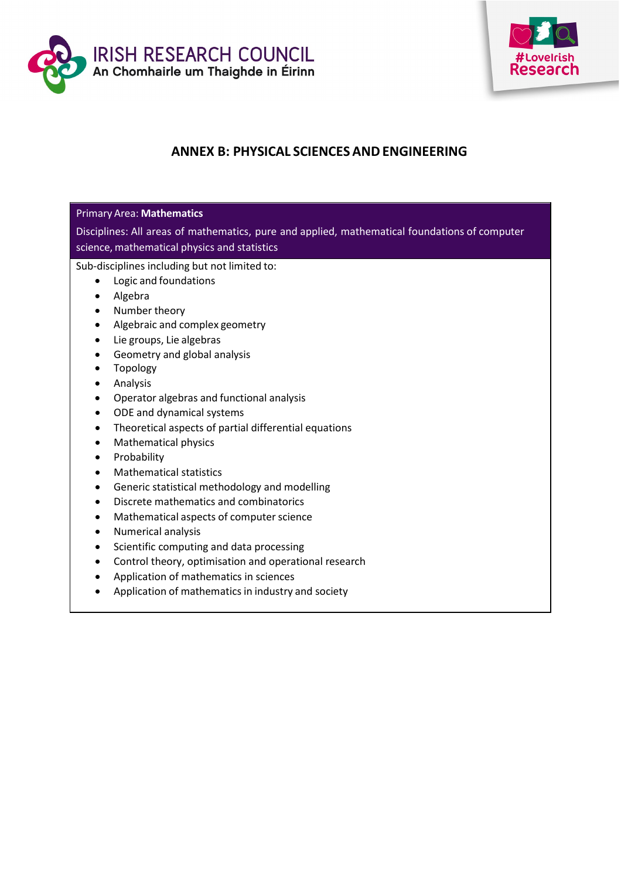



# **ANNEX B: PHYSICAL SCIENCESANDENGINEERING**

# Primary Area: **Mathematics**

Disciplines: All areas of mathematics, pure and applied, mathematical foundations of computer science, mathematical physics and statistics

- Logic and foundations
- Algebra
- Number theory
- Algebraic and complex geometry
- Lie groups, Lie algebras
- Geometry and global analysis
- Topology
- Analysis
- Operator algebras and functional analysis
- ODE and dynamical systems
- Theoretical aspects of partial differential equations
- Mathematical physics
- Probability
- Mathematical statistics
- Generic statistical methodology and modelling
- Discrete mathematics and combinatorics
- Mathematical aspects of computer science
- Numerical analysis
- Scientific computing and data processing
- Control theory, optimisation and operational research
- Application of mathematics in sciences
- Application of mathematics in industry and society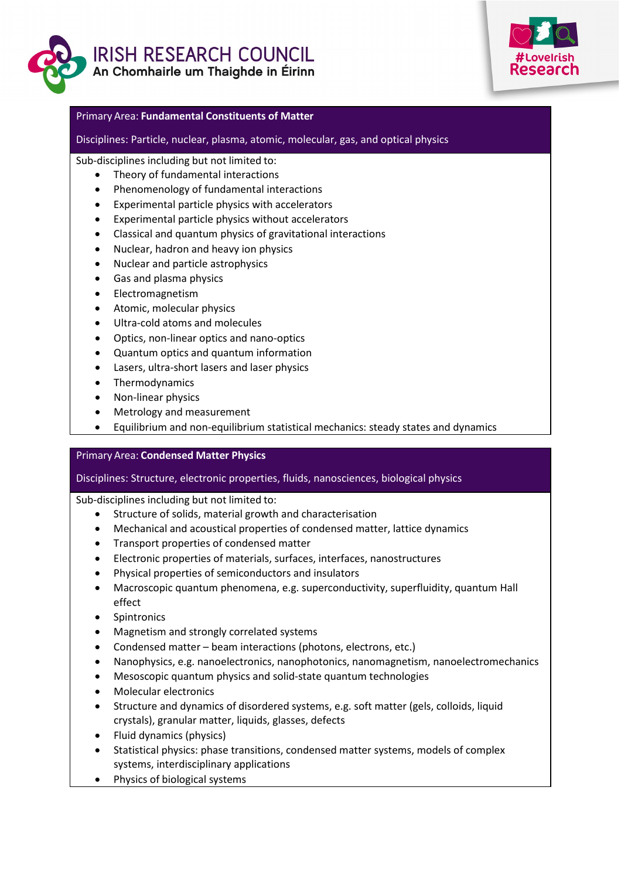



#### Primary Area: **Fundamental Constituents of Matter**

Disciplines: Particle, nuclear, plasma, atomic, molecular, gas, and optical physics

Sub-disciplines including but not limited to:

- Theory of fundamental interactions
- Phenomenology of fundamental interactions
- Experimental particle physics with accelerators
- Experimental particle physics without accelerators
- Classical and quantum physics of gravitational interactions
- Nuclear, hadron and heavy ion physics
- Nuclear and particle astrophysics
- Gas and plasma physics
- Electromagnetism
- Atomic, molecular physics
- Ultra-cold atoms and molecules
- Optics, non-linear optics and nano-optics
- Quantum optics and quantum information
- Lasers, ultra-short lasers and laser physics
- Thermodynamics
- Non-linear physics
- Metrology and measurement
- Equilibrium and non-equilibrium statistical mechanics: steady states and dynamics

## Primary Area: **Condensed Matter Physics**

## Disciplines: Structure, electronic properties, fluids, nanosciences, biological physics

- Structure of solids, material growth and characterisation
- Mechanical and acoustical properties of condensed matter, lattice dynamics
- Transport properties of condensed matter
- Electronic properties of materials, surfaces, interfaces, nanostructures
- Physical properties of semiconductors and insulators
- Macroscopic quantum phenomena, e.g. superconductivity, superfluidity, quantum Hall effect
- Spintronics
- Magnetism and strongly correlated systems
- Condensed matter beam interactions (photons, electrons, etc.)
- Nanophysics, e.g. nanoelectronics, nanophotonics, nanomagnetism, nanoelectromechanics
- Mesoscopic quantum physics and solid-state quantum technologies
- Molecular electronics
- Structure and dynamics of disordered systems, e.g. soft matter (gels, colloids, liquid crystals), granular matter, liquids, glasses, defects
- Fluid dynamics (physics)
- Statistical physics: phase transitions, condensed matter systems, models of complex systems, interdisciplinary applications
- Physics of biological systems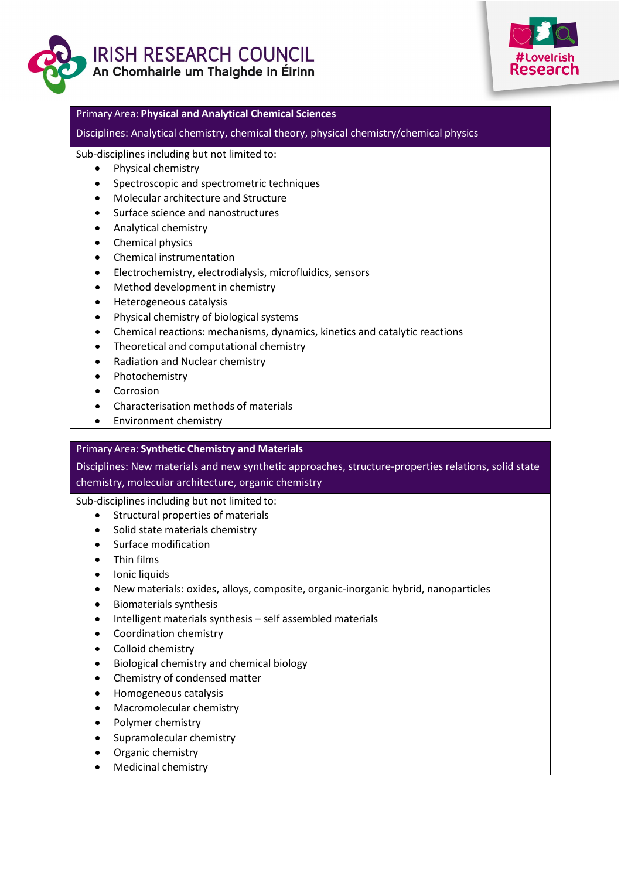



#### Primary Area: **Physical and Analytical Chemical Sciences**

Disciplines: Analytical chemistry, chemical theory, physical chemistry/chemical physics

Sub-disciplines including but not limited to:

- Physical chemistry
- Spectroscopic and spectrometric techniques
- Molecular architecture and Structure
- Surface science and nanostructures
- Analytical chemistry
- Chemical physics
- Chemical instrumentation
- Electrochemistry, electrodialysis, microfluidics, sensors
- Method development in chemistry
- Heterogeneous catalysis
- Physical chemistry of biological systems
- Chemical reactions: mechanisms, dynamics, kinetics and catalytic reactions
- Theoretical and computational chemistry
- Radiation and Nuclear chemistry
- Photochemistry
- Corrosion
- Characterisation methods of materials
- Environment chemistry

## Primary Area: **Synthetic Chemistry and Materials**

Disciplines: New materials and new synthetic approaches, structure-properties relations, solid state chemistry, molecular architecture, organic chemistry

- Structural properties of materials
- Solid state materials chemistry
- Surface modification
- Thin films
- Ionic liquids
- New materials: oxides, alloys, composite, organic-inorganic hybrid, nanoparticles
- Biomaterials synthesis
- Intelligent materials synthesis self assembled materials
- Coordination chemistry
- Colloid chemistry
- Biological chemistry and chemical biology
- Chemistry of condensed matter
- Homogeneous catalysis
- Macromolecular chemistry
- Polymer chemistry
- Supramolecular chemistry
- Organic chemistry
- Medicinal chemistry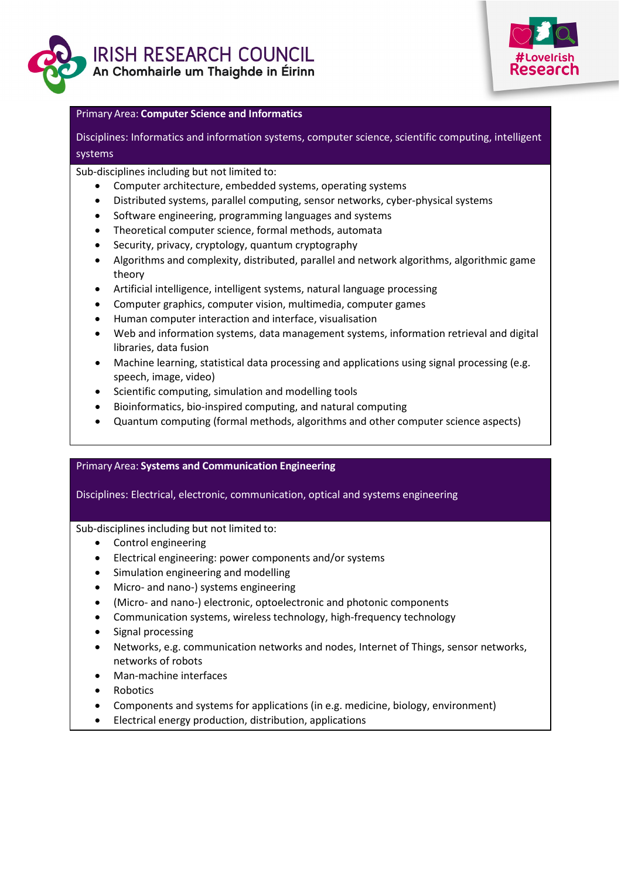



#### Primary Area: **Computer Science and Informatics**

Disciplines: Informatics and information systems, computer science, scientific computing, intelligent systems

Sub-disciplines including but not limited to:

- Computer architecture, embedded systems, operating systems
- Distributed systems, parallel computing, sensor networks, cyber-physical systems
- Software engineering, programming languages and systems
- Theoretical computer science, formal methods, automata
- Security, privacy, cryptology, quantum cryptography
- Algorithms and complexity, distributed, parallel and network algorithms, algorithmic game theory
- Artificial intelligence, intelligent systems, natural language processing
- Computer graphics, computer vision, multimedia, computer games
- Human computer interaction and interface, visualisation
- Web and information systems, data management systems, information retrieval and digital libraries, data fusion
- Machine learning, statistical data processing and applications using signal processing (e.g. speech, image, video)
- Scientific computing, simulation and modelling tools
- Bioinformatics, bio-inspired computing, and natural computing
- Quantum computing (formal methods, algorithms and other computer science aspects)

## Primary Area: **Systems and Communication Engineering**

## Disciplines: Electrical, electronic, communication, optical and systems engineering

- Control engineering
- Electrical engineering: power components and/or systems
- Simulation engineering and modelling
- Micro- and nano-) systems engineering
- (Micro- and nano-) electronic, optoelectronic and photonic components
- Communication systems, wireless technology, high-frequency technology
- Signal processing
- Networks, e.g. communication networks and nodes, Internet of Things, sensor networks, networks of robots
- Man-machine interfaces
- Robotics
- Components and systems for applications (in e.g. medicine, biology, environment)
- Electrical energy production, distribution, applications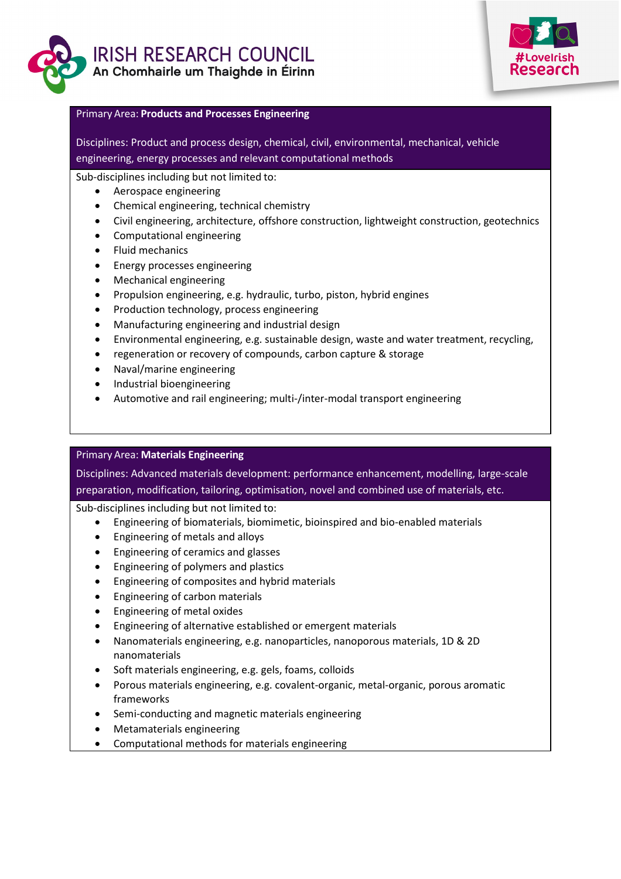



#### Primary Area: **Products and Processes Engineering**

Disciplines: Product and process design, chemical, civil, environmental, mechanical, vehicle engineering, energy processes and relevant computational methods

Sub-disciplines including but not limited to:

- Aerospace engineering
- Chemical engineering, technical chemistry
- Civil engineering, architecture, offshore construction, lightweight construction, geotechnics
- Computational engineering
- Fluid mechanics
- Energy processes engineering
- Mechanical engineering
- Propulsion engineering, e.g. hydraulic, turbo, piston, hybrid engines
- Production technology, process engineering
- Manufacturing engineering and industrial design
- Environmental engineering, e.g. sustainable design, waste and water treatment, recycling,
- regeneration or recovery of compounds, carbon capture & storage
- Naval/marine engineering
- Industrial bioengineering
- Automotive and rail engineering; multi-/inter-modal transport engineering

## Primary Area: **Materials Engineering**

Disciplines: Advanced materials development: performance enhancement, modelling, large-scale preparation, modification, tailoring, optimisation, novel and combined use of materials, etc.

- Engineering of biomaterials, biomimetic, bioinspired and bio-enabled materials
- Engineering of metals and alloys
- Engineering of ceramics and glasses
- Engineering of polymers and plastics
- Engineering of composites and hybrid materials
- Engineering of carbon materials
- Engineering of metal oxides
- Engineering of alternative established or emergent materials
- Nanomaterials engineering, e.g. nanoparticles, nanoporous materials, 1D & 2D nanomaterials
- Soft materials engineering, e.g. gels, foams, colloids
- Porous materials engineering, e.g. covalent-organic, metal-organic, porous aromatic frameworks
- Semi-conducting and magnetic materials engineering
- Metamaterials engineering
- Computational methods for materials engineering